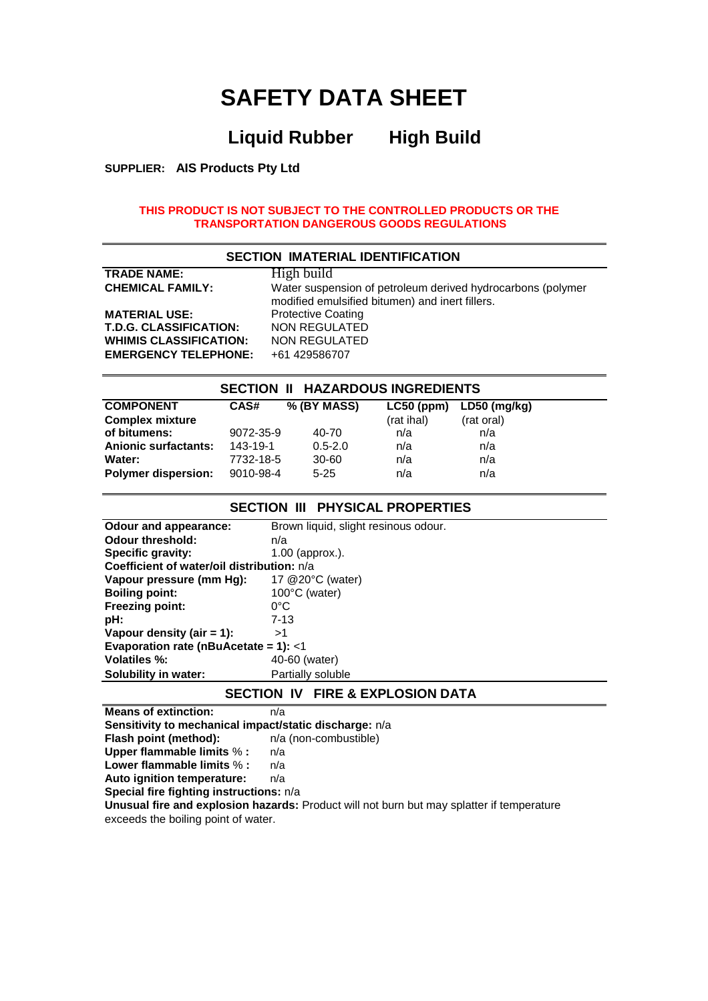# **SAFETY DATA SHEET**

# **Liquid Rubber High Build**

**SUPPLIER: AIS Products Pty Ltd**

#### **THIS PRODUCT IS NOT SUBJECT TO THE CONTROLLED PRODUCTS OR THE TRANSPORTATION DANGEROUS GOODS REGULATIONS**

| <b>SECTION IMATERIAL IDENTIFICATION</b> |                                                                                                                |  |  |  |
|-----------------------------------------|----------------------------------------------------------------------------------------------------------------|--|--|--|
| <b>TRADE NAME:</b>                      | High build                                                                                                     |  |  |  |
| <b>CHEMICAL FAMILY:</b>                 | Water suspension of petroleum derived hydrocarbons (polymer<br>modified emulsified bitumen) and inert fillers. |  |  |  |
| <b>MATERIAL USE:</b>                    | <b>Protective Coating</b>                                                                                      |  |  |  |
| <b>T.D.G. CLASSIFICATION:</b>           | <b>NON REGULATED</b>                                                                                           |  |  |  |
| <b>WHIMIS CLASSIFICATION:</b>           | NON REGULATED                                                                                                  |  |  |  |
| <b>EMERGENCY TELEPHONE:</b>             | +61 429586707                                                                                                  |  |  |  |

| <b>SECTION II HAZARDOUS INGREDIENTS</b> |           |             |              |              |  |
|-----------------------------------------|-----------|-------------|--------------|--------------|--|
| <b>COMPONENT</b>                        | CAS#      | % (BY MASS) | $LC50$ (ppm) | LD50 (mg/kg) |  |
| <b>Complex mixture</b>                  |           |             | (rat ihal)   | (rat oral)   |  |
| of bitumens:                            | 9072-35-9 | 40-70       | n/a          | n/a          |  |
| <b>Anionic surfactants:</b>             | 143-19-1  | $0.5 - 2.0$ | n/a          | n/a          |  |
| Water:                                  | 7732-18-5 | 30-60       | n/a          | n/a          |  |
| <b>Polymer dispersion:</b>              | 9010-98-4 | $5 - 25$    | n/a          | n/a          |  |

## **SECTION III PHYSICAL PROPERTIES**

| Odour and appearance:                      | Brown liquid, slight resinous odour. |  |  |  |
|--------------------------------------------|--------------------------------------|--|--|--|
| <b>Odour threshold:</b>                    | n/a                                  |  |  |  |
| <b>Specific gravity:</b>                   | $1.00$ (approx.).                    |  |  |  |
| Coefficient of water/oil distribution: n/a |                                      |  |  |  |
| Vapour pressure (mm Hq):                   | 17 @20°C (water)                     |  |  |  |
| <b>Boiling point:</b>                      | 100°C (water)                        |  |  |  |
| <b>Freezing point:</b>                     | 0°C                                  |  |  |  |
| pH:                                        | $7 - 13$                             |  |  |  |
| Vapour density (air $= 1$ ):               | >1                                   |  |  |  |
| Evaporation rate (nBuAcetate = 1): $<$ 1   |                                      |  |  |  |
| <b>Volatiles %:</b>                        | 40-60 (water)                        |  |  |  |
| Solubility in water:                       | Partially soluble                    |  |  |  |

#### **SECTION IV FIRE & EXPLOSION DATA**

**Means of extinction:** n/a **Sensitivity to mechanical impact/static discharge:**  $n/a$ <br>**Flash point (method):**  $n/a$  (non-combustible) **Flash point (method): Upper flammable limits** % **:** n/a **Lower flammable limits** % **:** n/a **Auto ignition temperature:** n/a **Special fire fighting instructions:** n/a **Unusual fire and explosion hazards:** Product will not burn but may splatter if temperature exceeds the boiling point of water.